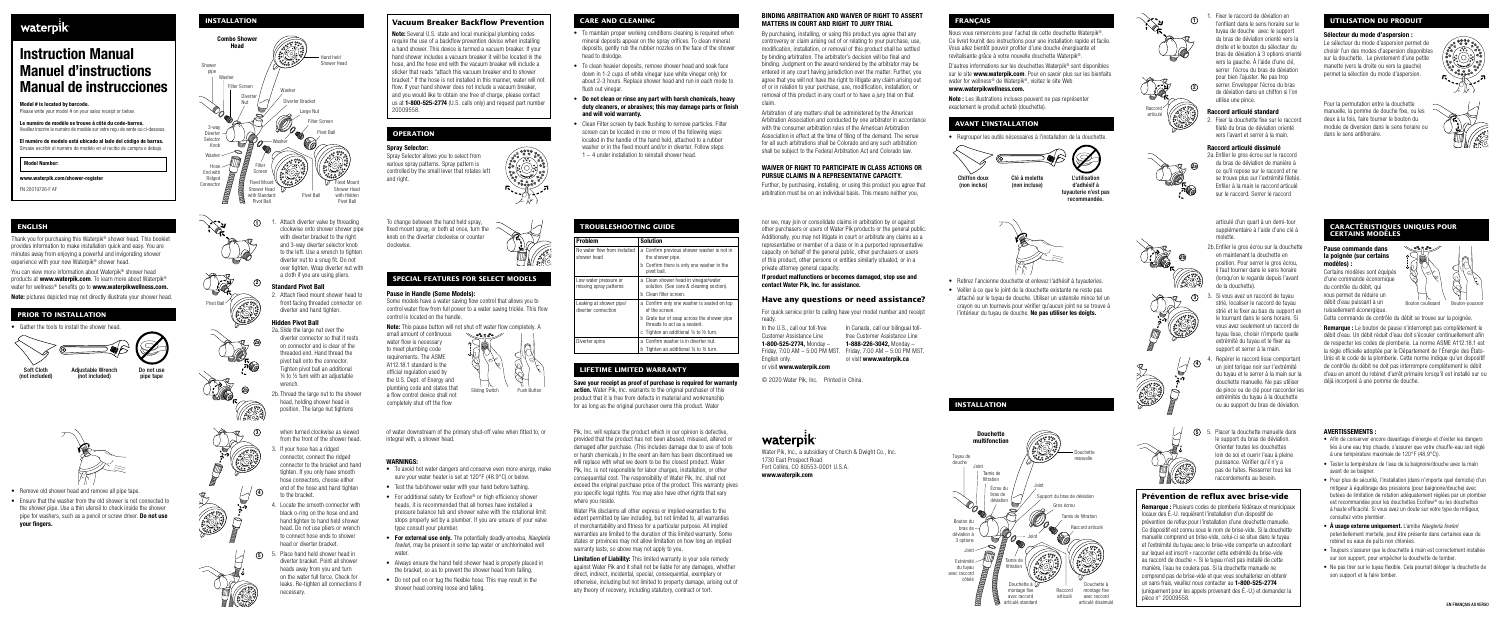### BINDING ARBITRATION AND WAIVER OF RIGHT TO ASSERT FRANÇAIS TRANGERS AND TRANSPORTED TO A SERVICE OF REGISTION OF THE SURFERS IN COURT AND RIGHT TO JURY TRIAL TRANGERS IN THE SURFERS OF THE SURFERS OF THE SURFERS OF THE SUR **INSTALLATION** Vacuum Breaker Backflow Prevention CARE AND CLEANING MATTERS IN COURT AND RIGHT TO JURY TRIAL **FRANÇAIS** FRANÇAIS COURT AND RIGHT TO JURY TRIAL CARE AND RIGHT TO JURY TRIAL **FRANÇAIS** Tenfilant dans le sens MATTERS IN COURT AND RIGHT TO JURY TRIAL

None and the byen and the and the value of the and the and the and the and the and the and the and the and the and the and the and the and the and the and the and the and the and the and the and the and the and the and the

Pivot Ball with Hidden Pivot Ball with Hidden arbitration must be on an individual basis. This means neither you, tuyauterie incommunity, which included the stress arbitration must be on an individual basis. This means nei



- 
- 
- 
- 











- 
- 
- 
- 

- 
- 













- 
- 







- 
- 
- 

- 
- 
- 
- 
- 
- 

- 
- 
- 
- 

<sup>1</sup>1. Attach diverter valve by threading To change between the hand held spray, nor we, may join or consolidate claims in arbitration by or against articulé d'un quart à un demi-tour **ENGLISH TROUBLESHOOTING GUIDE CARACTÉRISTIQUES UNIQUES POUR** clockwise onto shower shower pipe fixed mount spray, or both at once, turn the other purchasers or users of Water Pik products or the general public. supplémentaire à l'aide d'une clé à **CERTAINS MODÈLES** with diverter bracket to the right knob on the diverter clockwise or counter Additionally, you may not litigate in court or arbitrate any claims as a molette. Thank you for purchasing this Waterpik® shower head. This booklet Problem Solution and 3-way diverter selector knob clockwise. representative or member of a class or in a purported representative provides information to make installation quick and easy. You are No water flow from installed 2b. Enfiler le gros écrou sur la douchette Pause commande dans a Confirm previous shower washer is not in minutes away from enjoying a powerful and invigorating shower to the left. Use a wrench to tighten capacity on behalf of the general public, other purchasers or users en maintenant la douchette en shower head the shower pipe. la poignée (sur certains diverter nut to a snug fit. Do not of this product, other persons or entities similarly situated, or in a 2b







- 
- 

| Thank you for purchasing this Waterpik® shower head. This booklet                                                                                                                                   |                                                   | with diverter bracket to the right                                                                                                                     | knob on the diverter clockwise or counter                                                                                                                                             |                                            | <b>Solution</b>                                                                                                                                      | Additionally, you may not litigate in court or arbitrate any claims as a                                                                                                                                                                                    |                                                                                                                                          |                           | moletto                                                                                                             | <b>LENTAINS MUDELLS</b>                                                                                                                                                                                             |
|-----------------------------------------------------------------------------------------------------------------------------------------------------------------------------------------------------|---------------------------------------------------|--------------------------------------------------------------------------------------------------------------------------------------------------------|---------------------------------------------------------------------------------------------------------------------------------------------------------------------------------------|--------------------------------------------|------------------------------------------------------------------------------------------------------------------------------------------------------|-------------------------------------------------------------------------------------------------------------------------------------------------------------------------------------------------------------------------------------------------------------|------------------------------------------------------------------------------------------------------------------------------------------|---------------------------|---------------------------------------------------------------------------------------------------------------------|---------------------------------------------------------------------------------------------------------------------------------------------------------------------------------------------------------------------|
| provides information to make installation quick and easy. You are<br>minutes away from enjoying a powerful and invigorating shower<br>experience with your new Waterpik® shower head.               |                                                   | and 3-way diverter selector knob<br>to the left. Use a wrench to tighten<br>diverter nut to a snug fit. Do not<br>over tighten. Wrap diverter nut with | clockwise.                                                                                                                                                                            | shower head                                | No water flow from installed $\parallel$ a Confirm previous shower washer is not in<br>the shower pipe.<br>b Confirm there is only one washer in the | representative or member of a class or in a purported representative<br>capacity on behalf of the general public, other purchasers or users<br>of this product, other persons or entities similarly situated, or in a<br>private attorney general capacity. |                                                                                                                                          |                           | 2b. Enfiler le gros écrou sur la douchette<br>en maintenant la douchette en<br>position. Pour serrer le gros écrou, | ಿಕಿಂತಿ<br>Pause commande dans<br>la poignée (sur certains<br>modèles).                                                                                                                                              |
| You can view more information about Waterpik® shower head<br>ucts at <b>www.waterpik.com</b> . To learn more about Waterpik®<br>water for wellness® benefits go to <b>www.waterpikwellness.com.</b> | TRE                                               | a cloth if you are using pliers.<br><b>Standard Pivot Ball</b>                                                                                         | SPECIAL FEATURES FOR SELECT MODELS                                                                                                                                                    | ow water pressure o<br>ssing spray pattern | pivot ball.<br>a Clean shower head in vinegar/water<br>solution. (See care & cleaning section)                                                       | If product malfunctions or becomes damaged, stop use and<br>contact Water Pik. Inc. for assistance.                                                                                                                                                         | • Retirez l'ancienne douchette et enlevez l'adhésif à tuyauteries.                                                                       | <b>1999-99-99</b>         | il faut tourner dans le sens horaire<br>(lorsqu'on le regarde depuis l'avant<br>de la douchette)                    | Certains modèles sont équipés<br>d'une commande économique<br>du contrôle du débit, qui                                                                                                                             |
| <b>Note:</b> pictures depicted may not directly illustrate your shower head.                                                                                                                        | <b><i><u><b>PER 890</b></u></i></b><br>Pivot Ball | 2. Attach fixed mount shower head to<br>front facing threaded connector on                                                                             | Pause in Handle (Some Models):<br>Some models have a water saving flow control that allows you to                                                                                     | Leaking at shower pipe/                    | b Clean filter screen.<br>a Confirm only one washer is seated on top                                                                                 | Have any questions or need assistance?                                                                                                                                                                                                                      | • Veiller à ce que le joint de la douchette existante ne reste pas<br>attaché sur le tuyau de douche. Utiliser un ustensile mince tel un | $\rightarrow$             | 3. Si vous avez un raccord de tuyau<br>strié, localiser le raccord de tuyau                                         | vous permet de réduire un<br>débit d'eau puissant à un<br>Bouton coulissant Bouton-poussoir                                                                                                                         |
| PRIOR TO INSTALLATION                                                                                                                                                                               |                                                   | diverter and hand tighten.                                                                                                                             | control water flow from full power to a water saving trickle. This flow<br>control is located on the handle.                                                                          | diverter connection                        | of the screen.<br>b Grate bar of soap across the shower pipe                                                                                         | For quick service prior to calling have your model number and receipt<br>ready.                                                                                                                                                                             | cravon ou un tournevis pour vérifier qu'aucun joint ne se trouve à<br>l'intérieur du tuyau de douche. Ne pas utiliser les doigts.        |                           | strié et le fixer au bas du support e<br>le tournant dans le sens horaire. S                                        | ruissellement éconergique.<br>Cette commande de contrôle du débit se trouve sur la poignée.                                                                                                                         |
| • Gather the tools to install the shower head                                                                                                                                                       |                                                   | <b>Hidden Pivot Ball</b><br>2a. Slide the large nut over the<br>diverter connector so that it rests<br>on connector and is clear of the                | <b>Note:</b> This pause button will not shut off water flow completely. A<br>small amount of continuous<br>$\scriptstyle\diagdown$ or 20 are $\mathcal{D}$<br>water flow is necessary | Diverter spins                             | threads to act as a sealant.<br>c Tighten an additional 1/4 to 1/2 turn.<br>a Confirm washer is in diverter nut.                                     | In the U.S., call our toll-free<br>In Canada, call our bilingual toll-<br>free Customer Assistance Line<br>Customer Assistance Line<br>1-800-525-2774. Mono<br>1-888-226-3042. Monday -                                                                     |                                                                                                                                          | <b>30 PM</b><br>300000 00 | vous avez seulement un raccord de<br>tuyau lisse, choisir n'importe quelle<br>extrémité du tuyau et le fixer au     | <b>Remarque :</b> Le bouton de pause n'interrompt pas complètement le<br>débit d'eau. Un débit réduit d'eau doit s'écouler continuellement afin<br>de respecter les codes de plomberie. La norme ASME A112.18.1 est |
|                                                                                                                                                                                                     |                                                   | throadad and Hand throad the                                                                                                                           | to meet plumbing code                                                                                                                                                                 |                                            | b Tighten an additional 1/4 to 1/2 turn.                                                                                                             | Friday, $7:00$ AM $-5:00$ PM MST. Friday, $7:00$ AM $-5:00$ PM MST.                                                                                                                                                                                         |                                                                                                                                          |                           | support et serrer à la main.                                                                                        | la règle officielle adoptée par le Département de l'Énergie des États-                                                                                                                                              |

and the contract and the contract of the contract of the contract and the contract in the contract and the contract of the contract and the contract in the contract of the contract and the contract in the contract of the c











5